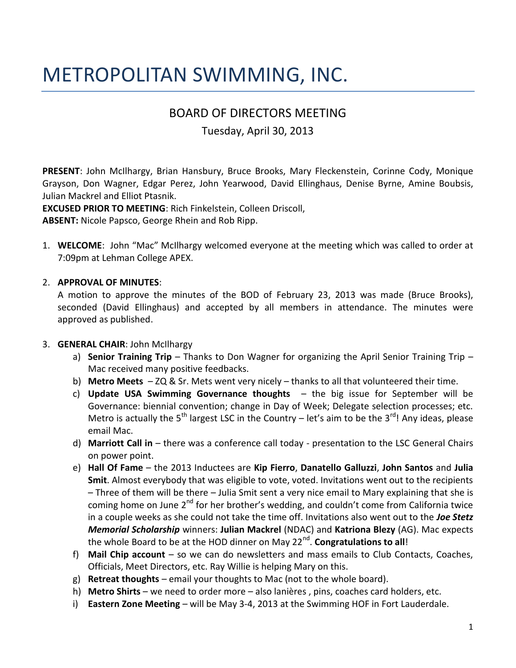# METROPOLITAN SWIMMING, INC.

## BOARD OF DIRECTORS MEETING

Tuesday, April 30, 2013

**PRESENT**: John McIlhargy, Brian Hansbury, Bruce Brooks, Mary Fleckenstein, Corinne Cody, Monique Grayson, Don Wagner, Edgar Perez, John Yearwood, David Ellinghaus, Denise Byrne, Amine Boubsis, Julian Mackrel and Elliot Ptasnik.

**EXCUSED PRIOR TO MEETING**: Rich Finkelstein, Colleen Driscoll, **ABSENT:** Nicole Papsco, George Rhein and Rob Ripp.

1. **WELCOME**: John "Mac" McIlhargy welcomed everyone at the meeting which was called to order at 7:09pm at Lehman College APEX.

## 2. **APPROVAL OF MINUTES**:

A motion to approve the minutes of the BOD of February 23, 2013 was made (Bruce Brooks), seconded (David Ellinghaus) and accepted by all members in attendance. The minutes were approved as published.

## 3. **GENERAL CHAIR**: John McIlhargy

- a) **Senior Training Trip** Thanks to Don Wagner for organizing the April Senior Training Trip Mac received many positive feedbacks.
- b) **Metro Meets**  ZQ & Sr. Mets went very nicely thanks to all that volunteered their time.
- c) **Update USA Swimming Governance thoughts**  the big issue for September will be Governance: biennial convention; change in Day of Week; Delegate selection processes; etc. Metro is actually the 5<sup>th</sup> largest LSC in the Country – let's aim to be the 3<sup>rd</sup>! Any ideas, please email Mac.
- d) **Marriott Call in** there was a conference call today presentation to the LSC General Chairs on power point.
- e) **Hall Of Fame** the 2013 Inductees are **Kip Fierro**, **Danatello Galluzzi**, **John Santos** and **Julia Smit**. Almost everybody that was eligible to vote, voted. Invitations went out to the recipients – Three of them will be there – Julia Smit sent a very nice email to Mary explaining that she is coming home on June 2<sup>nd</sup> for her brother's wedding, and couldn't come from California twice in a couple weeks as she could not take the time off. Invitations also went out to the *Joe Stetz Memorial Scholarship* winners: **Julian Mackrel** (NDAC) and **Katriona Blezy** (AG). Mac expects the whole Board to be at the HOD dinner on May 22<sup>nd</sup>. **Congratulations to all**!
- f) **Mail Chip account** so we can do newsletters and mass emails to Club Contacts, Coaches, Officials, Meet Directors, etc. Ray Willie is helping Mary on this.
- g) **Retreat thoughts**  email your thoughts to Mac (not to the whole board).
- h) **Metro Shirts**  we need to order more also lanières , pins, coaches card holders, etc.
- i) **Eastern Zone Meeting**  will be May 3-4, 2013 at the Swimming HOF in Fort Lauderdale.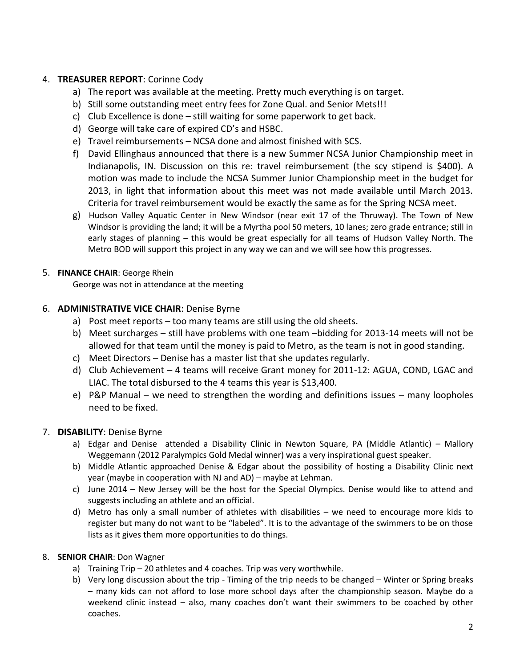## 4. **TREASURER REPORT**: Corinne Cody

- a) The report was available at the meeting. Pretty much everything is on target.
- b) Still some outstanding meet entry fees for Zone Qual. and Senior Mets!!!
- c) Club Excellence is done still waiting for some paperwork to get back.
- d) George will take care of expired CD's and HSBC.
- e) Travel reimbursements NCSA done and almost finished with SCS.
- f) David Ellinghaus announced that there is a new Summer NCSA Junior Championship meet in Indianapolis, IN. Discussion on this re: travel reimbursement (the scy stipend is \$400). A motion was made to include the NCSA Summer Junior Championship meet in the budget for 2013, in light that information about this meet was not made available until March 2013. Criteria for travel reimbursement would be exactly the same as for the Spring NCSA meet.
- g) Hudson Valley Aquatic Center in New Windsor (near exit 17 of the Thruway). The Town of New Windsor is providing the land; it will be a Myrtha pool 50 meters, 10 lanes; zero grade entrance; still in early stages of planning – this would be great especially for all teams of Hudson Valley North. The Metro BOD will support this project in any way we can and we will see how this progresses.

#### 5. **FINANCE CHAIR**: George Rhein

George was not in attendance at the meeting

#### 6. **ADMINISTRATIVE VICE CHAIR**: Denise Byrne

- a) Post meet reports too many teams are still using the old sheets.
- b) Meet surcharges still have problems with one team –bidding for 2013-14 meets will not be allowed for that team until the money is paid to Metro, as the team is not in good standing.
- c) Meet Directors Denise has a master list that she updates regularly.
- d) Club Achievement 4 teams will receive Grant money for 2011-12: AGUA, COND, LGAC and LIAC. The total disbursed to the 4 teams this year is \$13,400.
- e) P&P Manual we need to strengthen the wording and definitions issues many loopholes need to be fixed.

#### 7. **DISABILITY**: Denise Byrne

- a) Edgar and Denise attended a Disability Clinic in Newton Square, PA (Middle Atlantic) Mallory Weggemann (2012 Paralympics Gold Medal winner) was a very inspirational guest speaker.
- b) Middle Atlantic approached Denise & Edgar about the possibility of hosting a Disability Clinic next year (maybe in cooperation with NJ and AD) – maybe at Lehman.
- c) June 2014 New Jersey will be the host for the Special Olympics. Denise would like to attend and suggests including an athlete and an official.
- d) Metro has only a small number of athletes with disabilities we need to encourage more kids to register but many do not want to be "labeled". It is to the advantage of the swimmers to be on those lists as it gives them more opportunities to do things.

#### 8. **SENIOR CHAIR**: Don Wagner

- a) Training Trip 20 athletes and 4 coaches. Trip was very worthwhile.
- b) Very long discussion about the trip Timing of the trip needs to be changed Winter or Spring breaks – many kids can not afford to lose more school days after the championship season. Maybe do a weekend clinic instead – also, many coaches don't want their swimmers to be coached by other coaches.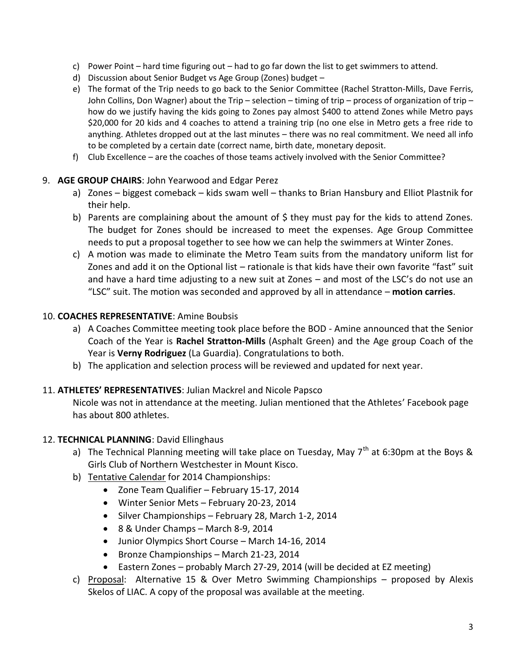- c) Power Point hard time figuring out had to go far down the list to get swimmers to attend.
- d) Discussion about Senior Budget vs Age Group (Zones) budget –
- e) The format of the Trip needs to go back to the Senior Committee (Rachel Stratton-Mills, Dave Ferris, John Collins, Don Wagner) about the Trip – selection – timing of trip – process of organization of trip – how do we justify having the kids going to Zones pay almost \$400 to attend Zones while Metro pays \$20,000 for 20 kids and 4 coaches to attend a training trip (no one else in Metro gets a free ride to anything. Athletes dropped out at the last minutes – there was no real commitment. We need all info to be completed by a certain date (correct name, birth date, monetary deposit.
- f) Club Excellence are the coaches of those teams actively involved with the Senior Committee?

## 9. **AGE GROUP CHAIRS**: John Yearwood and Edgar Perez

- a) Zones biggest comeback kids swam well thanks to Brian Hansbury and Elliot Plastnik for their help.
- b) Parents are complaining about the amount of \$ they must pay for the kids to attend Zones. The budget for Zones should be increased to meet the expenses. Age Group Committee needs to put a proposal together to see how we can help the swimmers at Winter Zones.
- c) A motion was made to eliminate the Metro Team suits from the mandatory uniform list for Zones and add it on the Optional list – rationale is that kids have their own favorite "fast" suit and have a hard time adjusting to a new suit at Zones – and most of the LSC's do not use an "LSC" suit. The motion was seconded and approved by all in attendance – **motion carries**.

#### 10. **COACHES REPRESENTATIVE**: Amine Boubsis

- a) A Coaches Committee meeting took place before the BOD Amine announced that the Senior Coach of the Year is **Rachel Stratton-Mills** (Asphalt Green) and the Age group Coach of the Year is **Verny Rodriguez** (La Guardia). Congratulations to both.
- b) The application and selection process will be reviewed and updated for next year.

## 11. **ATHLETES' REPRESENTATIVES**: Julian Mackrel and Nicole Papsco

Nicole was not in attendance at the meeting. Julian mentioned that the Athletes' Facebook page has about 800 athletes.

#### 12. **TECHNICAL PLANNING**: David Ellinghaus

- a) The Technical Planning meeting will take place on Tuesday, May  $7<sup>th</sup>$  at 6:30pm at the Boys & Girls Club of Northern Westchester in Mount Kisco.
- b) Tentative Calendar for 2014 Championships:
	- Zone Team Qualifier February 15-17, 2014
	- Winter Senior Mets February 20-23, 2014
	- Silver Championships February 28, March 1-2, 2014
	- 8 & Under Champs March 8-9, 2014
	- Junior Olympics Short Course March 14-16, 2014
	- Bronze Championships March 21-23, 2014
	- Eastern Zones probably March 27-29, 2014 (will be decided at EZ meeting)
- c) Proposal: Alternative 15 & Over Metro Swimming Championships proposed by Alexis Skelos of LIAC. A copy of the proposal was available at the meeting.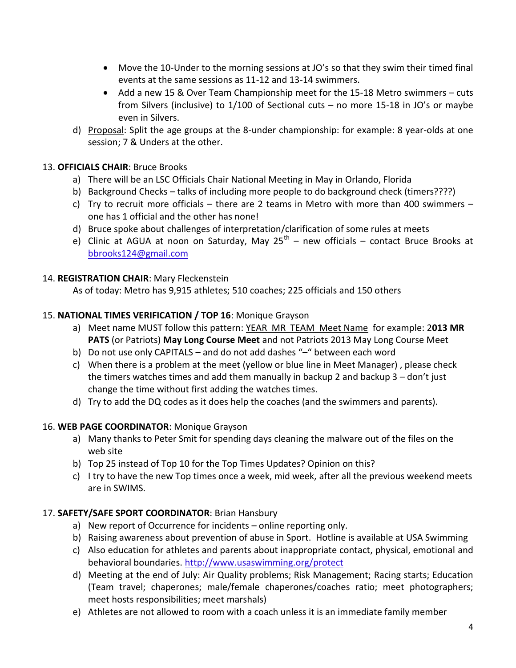- Move the 10-Under to the morning sessions at JO's so that they swim their timed final events at the same sessions as 11-12 and 13-14 swimmers.
- Add a new 15 & Over Team Championship meet for the 15-18 Metro swimmers cuts from Silvers (inclusive) to 1/100 of Sectional cuts – no more 15-18 in JO's or maybe even in Silvers.
- d) Proposal: Split the age groups at the 8-under championship: for example: 8 year-olds at one session; 7 & Unders at the other.

## 13. **OFFICIALS CHAIR**: Bruce Brooks

- a) There will be an LSC Officials Chair National Meeting in May in Orlando, Florida
- b) Background Checks talks of including more people to do background check (timers????)
- c) Try to recruit more officials there are 2 teams in Metro with more than 400 swimmers one has 1 official and the other has none!
- d) Bruce spoke about challenges of interpretation/clarification of some rules at meets
- e) Clinic at AGUA at noon on Saturday, May 25<sup>th</sup> new officials contact Bruce Brooks at [bbrooks124@gmail.com](mailto:bbrooks124@gmail.com)

## 14. **REGISTRATION CHAIR**: Mary Fleckenstein

As of today: Metro has 9,915 athletes; 510 coaches; 225 officials and 150 others

## 15. **NATIONAL TIMES VERIFICATION / TOP 16**: Monique Grayson

- a) Meet name MUST follow this pattern: YEAR MR TEAM Meet Name for example: 2**013 MR PATS** (or Patriots) **May Long Course Meet** and not Patriots 2013 May Long Course Meet
- b) Do not use only CAPITALS and do not add dashes "–" between each word
- c) When there is a problem at the meet (yellow or blue line in Meet Manager) , please check the timers watches times and add them manually in backup 2 and backup 3 – don't just change the time without first adding the watches times.
- d) Try to add the DQ codes as it does help the coaches (and the swimmers and parents).

## 16. **WEB PAGE COORDINATOR**: Monique Grayson

- a) Many thanks to Peter Smit for spending days cleaning the malware out of the files on the web site
- b) Top 25 instead of Top 10 for the Top Times Updates? Opinion on this?
- c) I try to have the new Top times once a week, mid week, after all the previous weekend meets are in SWIMS.

## 17. **SAFETY/SAFE SPORT COORDINATOR**: Brian Hansbury

- a) New report of Occurrence for incidents online reporting only.
- b) Raising awareness about prevention of abuse in Sport. Hotline is available at USA Swimming
- c) Also education for athletes and parents about inappropriate contact, physical, emotional and behavioral boundaries. <http://www.usaswimming.org/protect>
- d) Meeting at the end of July: Air Quality problems; Risk Management; Racing starts; Education (Team travel; chaperones; male/female chaperones/coaches ratio; meet photographers; meet hosts responsibilities; meet marshals)
- e) Athletes are not allowed to room with a coach unless it is an immediate family member